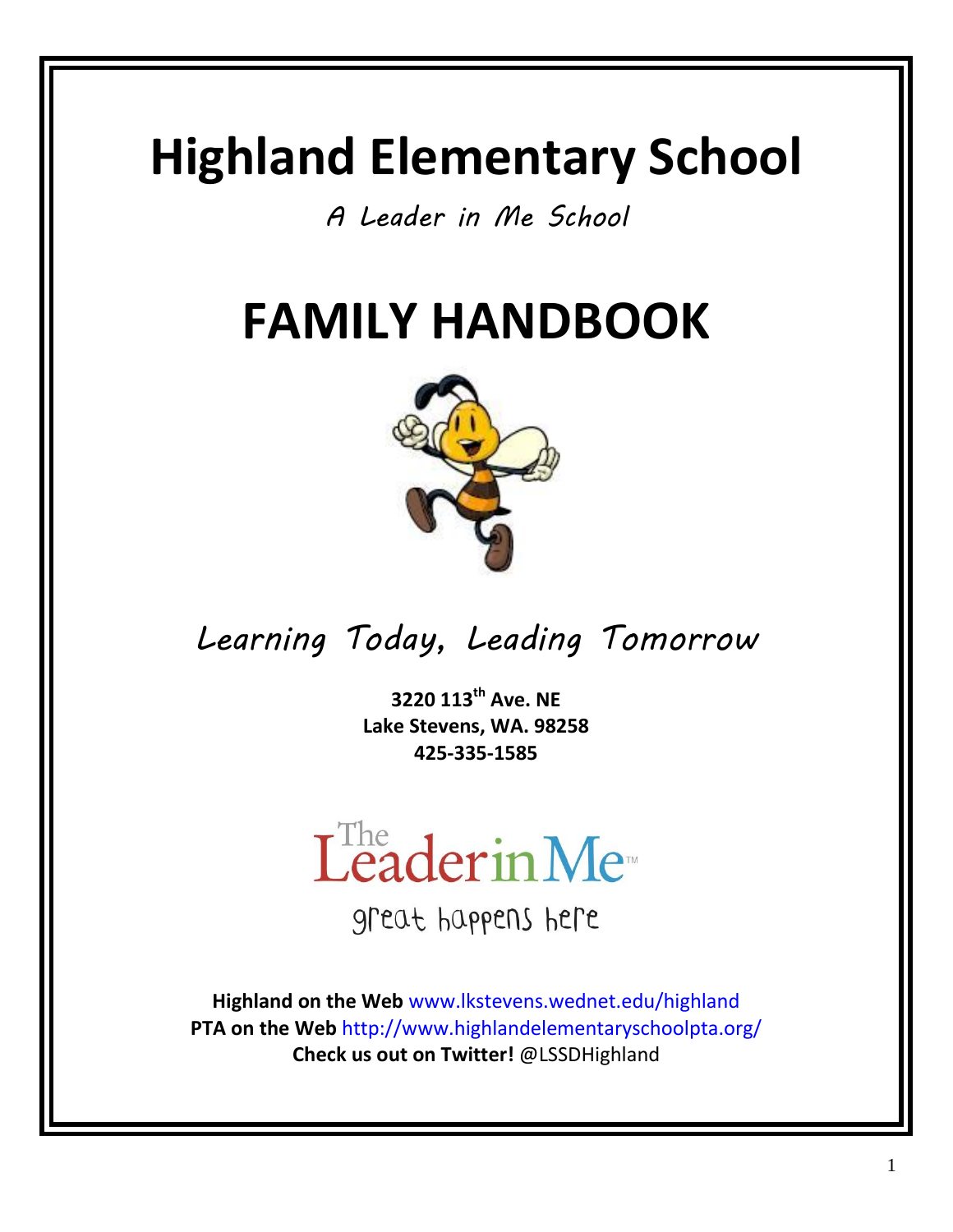# **Highland Elementary School**

*A Leader in Me School*

# **FAMILY HANDBOOK**



*Learning Today, Leading Tomorrow*

**3220 113th Ave. NE Lake Stevens, WA. 98258 425-335-1585**



great happens here

**Highland on the Web** [www.lkstevens.wednet.edu/highland](http://www.lkstevens.wednet.edu/highland) **PTA on the Web** <http://www.highlandelementaryschoolpta.org/> **Check us out on Twitter!** @LSSDHighland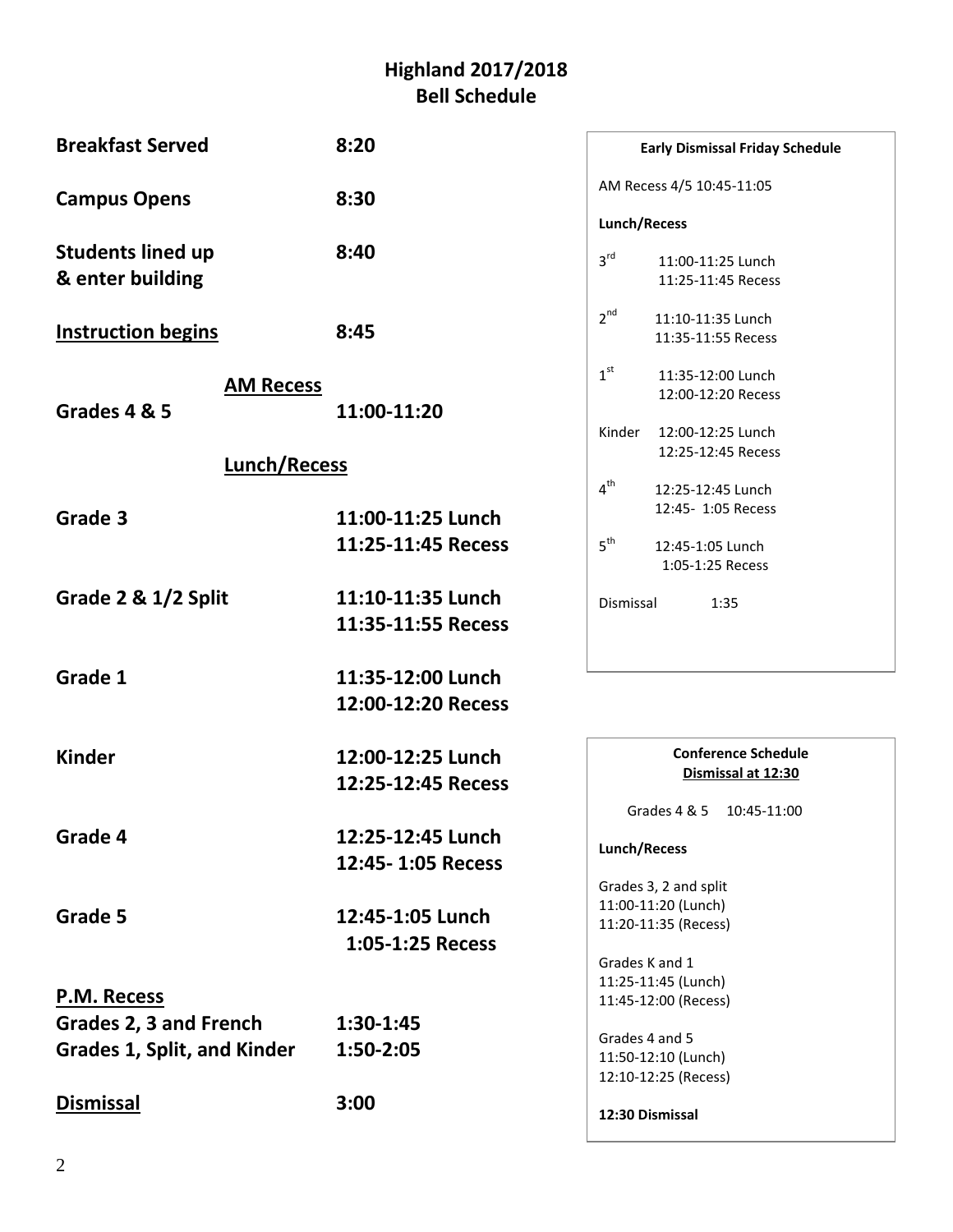#### **Highland 2017/2018 Bell Schedule**

| <b>Breakfast Served</b>                      | 8:20               | <b>Early Dismissal Friday Schedule</b>                     |
|----------------------------------------------|--------------------|------------------------------------------------------------|
| <b>Campus Opens</b>                          | 8:30               | AM Recess 4/5 10:45-11:05                                  |
|                                              |                    | Lunch/Recess                                               |
| <b>Students lined up</b><br>& enter building | 8:40               | 3 <sup>rd</sup><br>11:00-11:25 Lunch<br>11:25-11:45 Recess |
| <b>Instruction begins</b>                    | 8:45               | $2^{nd}$<br>11:10-11:35 Lunch<br>11:35-11:55 Recess        |
| <b>AM Recess</b>                             |                    | $1^{\rm st}$<br>11:35-12:00 Lunch<br>12:00-12:20 Recess    |
| Grades 4 & 5                                 | 11:00-11:20        |                                                            |
| <b>Lunch/Recess</b>                          |                    | Kinder<br>12:00-12:25 Lunch<br>12:25-12:45 Recess          |
|                                              |                    | $4^{\text{th}}$<br>12:25-12:45 Lunch                       |
| Grade 3                                      | 11:00-11:25 Lunch  | 12:45- 1:05 Recess                                         |
|                                              | 11:25-11:45 Recess | 5 <sup>th</sup><br>12:45-1:05 Lunch                        |
|                                              |                    | 1:05-1:25 Recess                                           |
| Grade 2 & 1/2 Split                          | 11:10-11:35 Lunch  | Dismissal<br>1:35                                          |
|                                              | 11:35-11:55 Recess |                                                            |
| Grade 1                                      | 11:35-12:00 Lunch  |                                                            |
|                                              | 12:00-12:20 Recess |                                                            |
| <b>Kinder</b>                                | 12:00-12:25 Lunch  | <b>Conference Schedule</b>                                 |
|                                              | 12:25-12:45 Recess | Dismissal at 12:30                                         |
|                                              |                    | Grades 4 & 5<br>10:45-11:00                                |
| Grade 4                                      | 12:25-12:45 Lunch  | Lunch/Recess                                               |
|                                              | 12:45-1:05 Recess  |                                                            |
|                                              |                    | Grades 3, 2 and split                                      |
| Grade 5                                      | 12:45-1:05 Lunch   | 11:00-11:20 (Lunch)<br>11:20-11:35 (Recess)                |
|                                              | 1:05-1:25 Recess   |                                                            |
|                                              |                    | Grades K and 1                                             |
| P.M. Recess                                  |                    | 11:25-11:45 (Lunch)<br>11:45-12:00 (Recess)                |
| Grades 2, 3 and French                       | 1:30-1:45          |                                                            |
| <b>Grades 1, Split, and Kinder</b>           | 1:50-2:05          | Grades 4 and 5                                             |
|                                              |                    | 11:50-12:10 (Lunch)                                        |
|                                              |                    | 12:10-12:25 (Recess)                                       |
| <b>Dismissal</b>                             | 3:00               | 12:30 Dismissal                                            |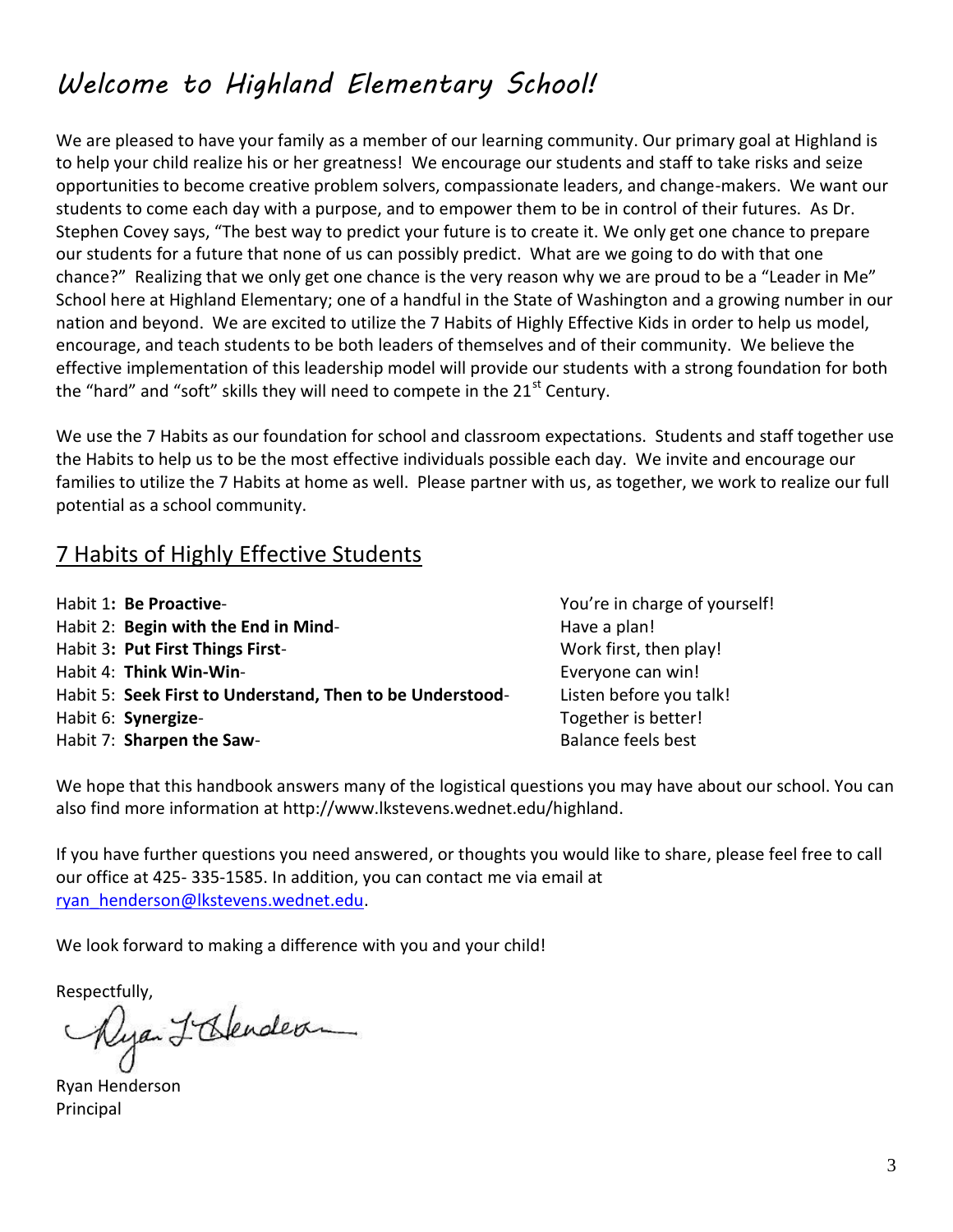### *Welcome to Highland Elementary School!*

We are pleased to have your family as a member of our learning community. Our primary goal at Highland is to help your child realize his or her greatness! We encourage our students and staff to take risks and seize opportunities to become creative problem solvers, compassionate leaders, and change-makers. We want our students to come each day with a purpose, and to empower them to be in control of their futures. As Dr. Stephen Covey says, "The best way to predict your future is to create it. We only get one chance to prepare our students for a future that none of us can possibly predict. What are we going to do with that one chance?" Realizing that we only get one chance is the very reason why we are proud to be a "Leader in Me" School here at Highland Elementary; one of a handful in the State of Washington and a growing number in our nation and beyond. We are excited to utilize the 7 Habits of Highly Effective Kids in order to help us model, encourage, and teach students to be both leaders of themselves and of their community. We believe the effective implementation of this leadership model will provide our students with a strong foundation for both the "hard" and "soft" skills they will need to compete in the  $21<sup>st</sup>$  Century.

We use the 7 Habits as our foundation for school and classroom expectations. Students and staff together use the Habits to help us to be the most effective individuals possible each day. We invite and encourage our families to utilize the 7 Habits at home as well. Please partner with us, as together, we work to realize our full potential as a school community.

#### 7 Habits of Highly Effective Students

| Habit 1: Be Proactive-                                    | You're in charge of yourself! |
|-----------------------------------------------------------|-------------------------------|
| Habit 2: Begin with the End in Mind-                      | Have a plan!                  |
| Habit 3: Put First Things First-                          | Work first, then play!        |
| Habit 4: Think Win-Win-                                   | Everyone can win!             |
| Habit 5: Seek First to Understand, Then to be Understood- | Listen before you talk!       |
| Habit 6: Synergize-                                       | Together is better!           |
| Habit 7: Sharpen the Saw-                                 | Balance feels best            |

We hope that this handbook answers many of the logistical questions you may have about our school. You can also find more information at http://www.lkstevens.wednet.edu/highland.

If you have further questions you need answered, or thoughts you would like to share, please feel free to call our office at 425- 335-1585. In addition, you can contact me via email at [ryan\\_henderson@lkstevens.wednet.edu.](mailto:ryan_henderson@lkstevens.wednet.edu)

We look forward to making a difference with you and your child!

Respectfully,<br>Myan L'Oslender

Ryan Henderson Principal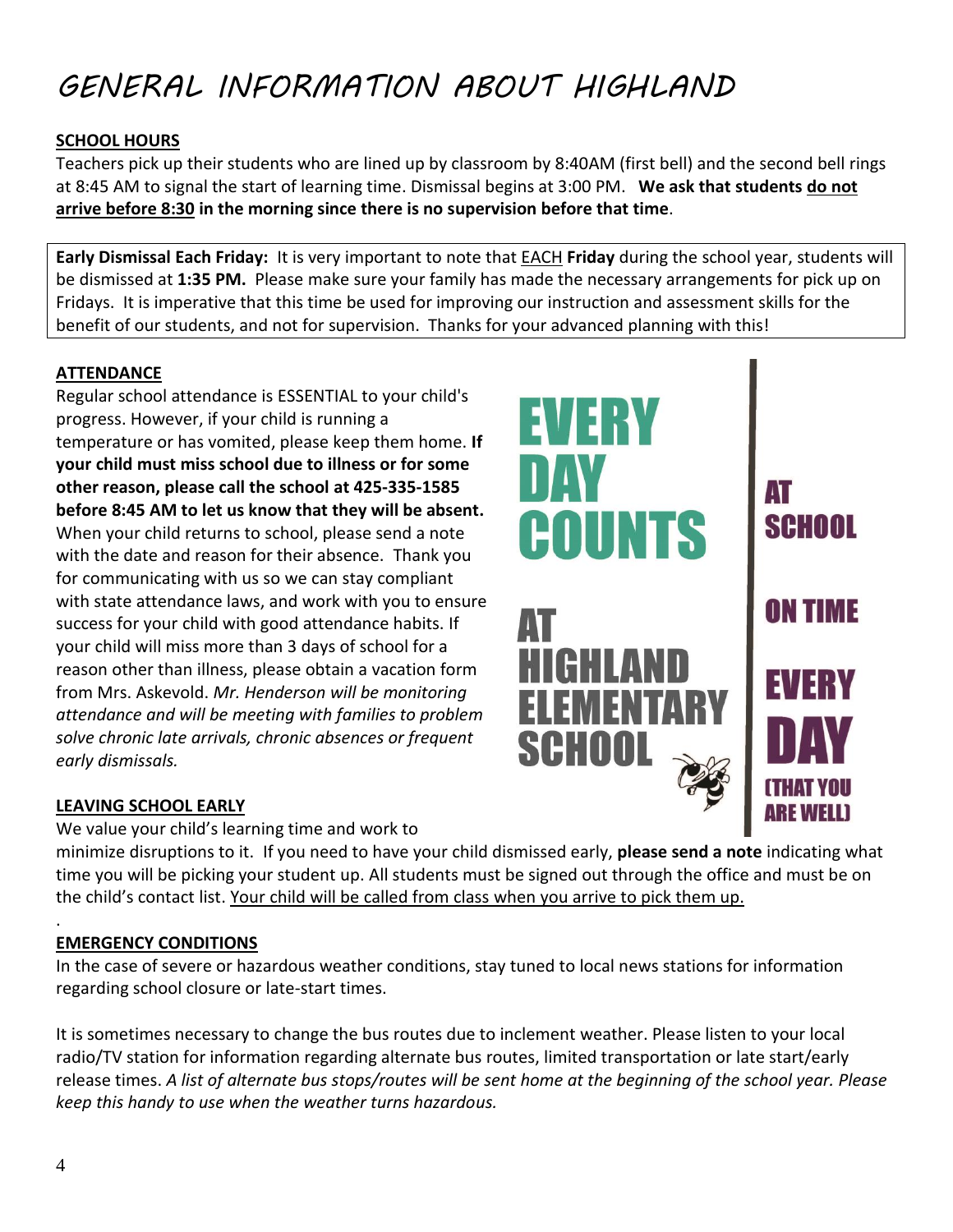## *GENERAL INFORMATION ABOUT HIGHLAND*

#### **SCHOOL HOURS**

Teachers pick up their students who are lined up by classroom by 8:40AM (first bell) and the second bell rings at 8:45 AM to signal the start of learning time. Dismissal begins at 3:00 PM. **We ask that students do not arrive before 8:30 in the morning since there is no supervision before that time**.

**Early Dismissal Each Friday:** It is very important to note that EACH **Friday** during the school year, students will be dismissed at **1:35 PM.** Please make sure your family has made the necessary arrangements for pick up on Fridays. It is imperative that this time be used for improving our instruction and assessment skills for the benefit of our students, and not for supervision. Thanks for your advanced planning with this!

#### **ATTENDANCE**

Regular school attendance is ESSENTIAL to your child's progress. However, if your child is running a temperature or has vomited, please keep them home. **If your child must miss school due to illness or for some other reason, please call the school at 425-335-1585 before 8:45 AM to let us know that they will be absent.**  When your child returns to school, please send a note with the date and reason for their absence. Thank you for communicating with us so we can stay compliant with state attendance laws, and work with you to ensure success for your child with good attendance habits. If your child will miss more than 3 days of school for a reason other than illness, please obtain a vacation form from Mrs. Askevold. *Mr. Henderson will be monitoring attendance and will be meeting with families to problem solve chronic late arrivals, chronic absences or frequent early dismissals.* 

#### **LEAVING SCHOOL EARLY**

We value your child's learning time and work to minimize disruptions to it. If you need to have your child dismissed early, **please send a note** indicating what time you will be picking your student up. All students must be signed out through the office and must be on the child's contact list. Your child will be called from class when you arrive to pick them up.

#### . **EMERGENCY CONDITIONS**

In the case of severe or hazardous weather conditions, stay tuned to local news stations for information regarding school closure or late-start times.

It is sometimes necessary to change the bus routes due to inclement weather. Please listen to your local radio/TV station for information regarding alternate bus routes, limited transportation or late start/early release times. *A list of alternate bus stops/routes will be sent home at the beginning of the school year. Please keep this handy to use when the weather turns hazardous.*

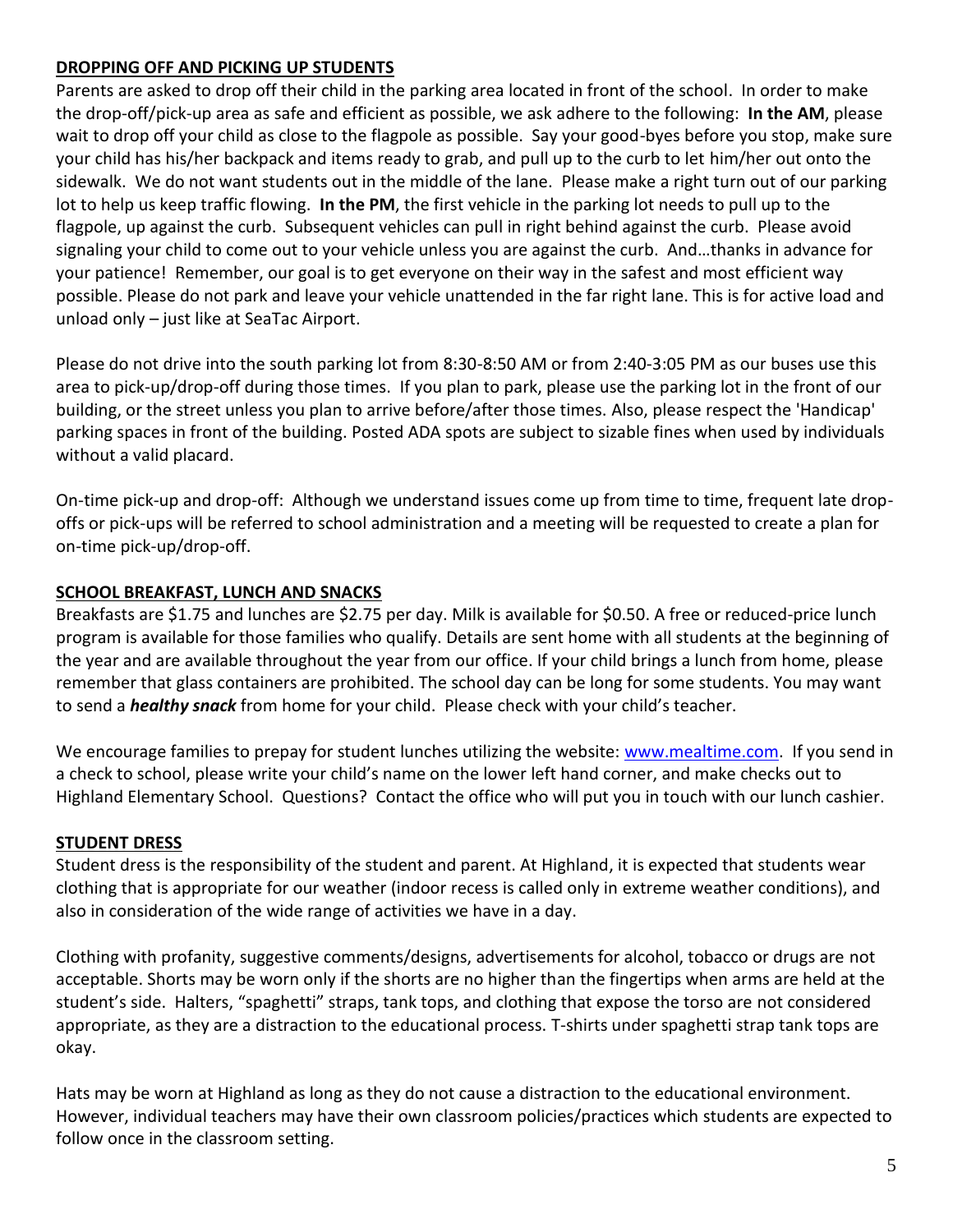#### **DROPPING OFF AND PICKING UP STUDENTS**

Parents are asked to drop off their child in the parking area located in front of the school. In order to make the drop-off/pick-up area as safe and efficient as possible, we ask adhere to the following: **In the AM**, please wait to drop off your child as close to the flagpole as possible. Say your good-byes before you stop, make sure your child has his/her backpack and items ready to grab, and pull up to the curb to let him/her out onto the sidewalk. We do not want students out in the middle of the lane. Please make a right turn out of our parking lot to help us keep traffic flowing. **In the PM**, the first vehicle in the parking lot needs to pull up to the flagpole, up against the curb. Subsequent vehicles can pull in right behind against the curb. Please avoid signaling your child to come out to your vehicle unless you are against the curb. And…thanks in advance for your patience! Remember, our goal is to get everyone on their way in the safest and most efficient way possible. Please do not park and leave your vehicle unattended in the far right lane. This is for active load and unload only – just like at SeaTac Airport.

Please do not drive into the south parking lot from 8:30-8:50 AM or from 2:40-3:05 PM as our buses use this area to pick-up/drop-off during those times. If you plan to park, please use the parking lot in the front of our building, or the street unless you plan to arrive before/after those times. Also, please respect the 'Handicap' parking spaces in front of the building. Posted ADA spots are subject to sizable fines when used by individuals without a valid placard.

On-time pick-up and drop-off: Although we understand issues come up from time to time, frequent late dropoffs or pick-ups will be referred to school administration and a meeting will be requested to create a plan for on-time pick-up/drop-off.

#### **SCHOOL BREAKFAST, LUNCH AND SNACKS**

Breakfasts are \$1.75 and lunches are \$2.75 per day. Milk is available for \$0.50. A free or reduced-price lunch program is available for those families who qualify. Details are sent home with all students at the beginning of the year and are available throughout the year from our office. If your child brings a lunch from home, please remember that glass containers are prohibited. The school day can be long for some students. You may want to send a *healthy snack* from home for your child. Please check with your child's teacher.

We encourage families to prepay for student lunches utilizing the website: [www.mealtime.com.](http://www.mealtime.com/) If you send in a check to school, please write your child's name on the lower left hand corner, and make checks out to Highland Elementary School. Questions? Contact the office who will put you in touch with our lunch cashier.

#### **STUDENT DRESS**

Student dress is the responsibility of the student and parent. At Highland, it is expected that students wear clothing that is appropriate for our weather (indoor recess is called only in extreme weather conditions), and also in consideration of the wide range of activities we have in a day.

Clothing with profanity, suggestive comments/designs, advertisements for alcohol, tobacco or drugs are not acceptable. Shorts may be worn only if the shorts are no higher than the fingertips when arms are held at the student's side. Halters, "spaghetti" straps, tank tops, and clothing that expose the torso are not considered appropriate, as they are a distraction to the educational process. T-shirts under spaghetti strap tank tops are okay.

Hats may be worn at Highland as long as they do not cause a distraction to the educational environment. However, individual teachers may have their own classroom policies/practices which students are expected to follow once in the classroom setting.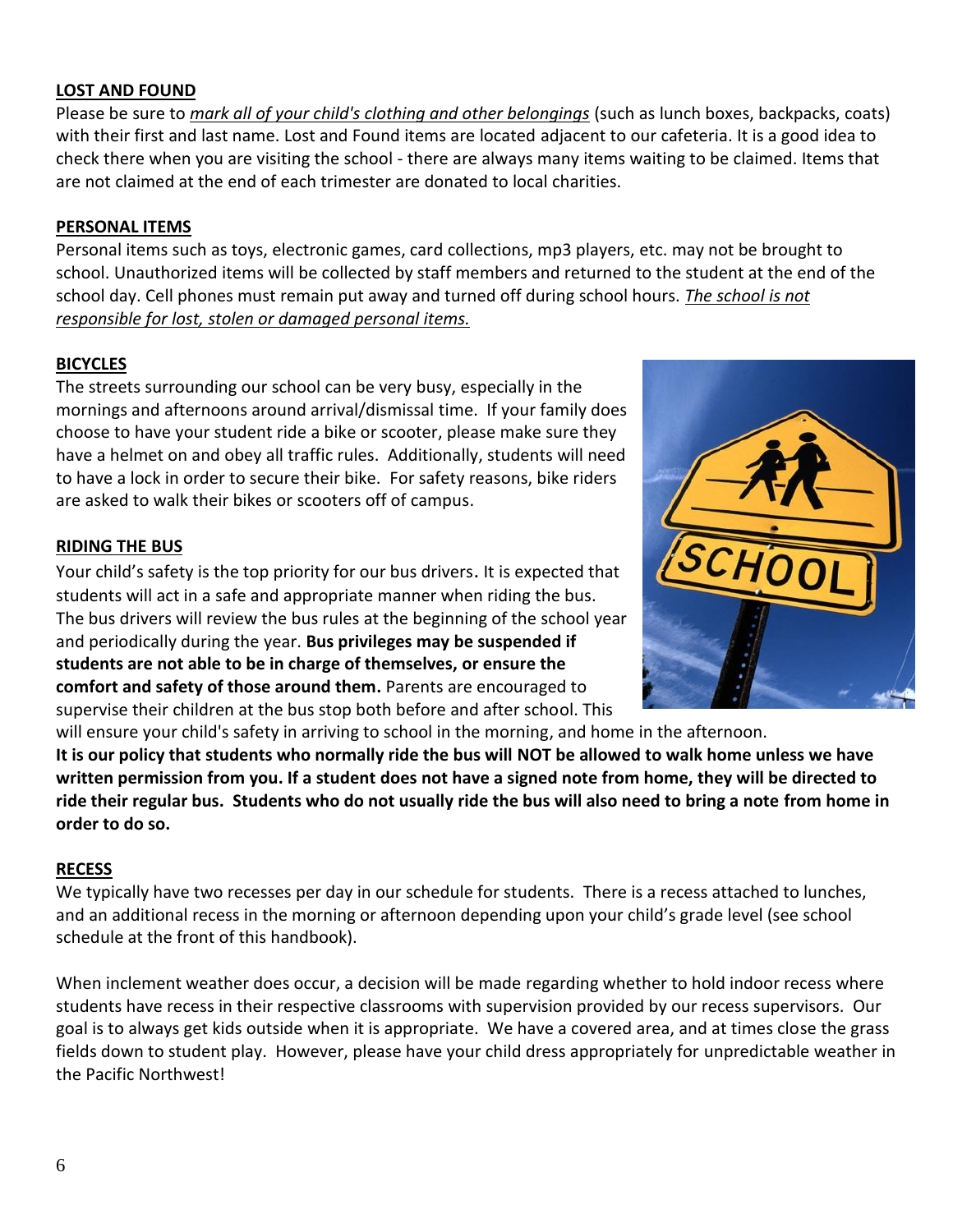#### **LOST AND FOUND**

Please be sure to *mark all of your child's clothing and other belongings* (such as lunch boxes, backpacks, coats) with their first and last name. Lost and Found items are located adjacent to our cafeteria. It is a good idea to check there when you are visiting the school - there are always many items waiting to be claimed. Items that are not claimed at the end of each trimester are donated to local charities.

#### **PERSONAL ITEMS**

Personal items such as toys, electronic games, card collections, mp3 players, etc. may not be brought to school. Unauthorized items will be collected by staff members and returned to the student at the end of the school day. Cell phones must remain put away and turned off during school hours. *The school is not responsible for lost, stolen or damaged personal items.*

#### **BICYCLES**

The streets surrounding our school can be very busy, especially in the mornings and afternoons around arrival/dismissal time. If your family does choose to have your student ride a bike or scooter, please make sure they have a helmet on and obey all traffic rules. Additionally, students will need to have a lock in order to secure their bike. For safety reasons, bike riders are asked to walk their bikes or scooters off of campus.

#### **RIDING THE BUS**

Your child's safety is the top priority for our bus drivers. It is expected that students will act in a safe and appropriate manner when riding the bus. The bus drivers will review the bus rules at the beginning of the school year and periodically during the year. **Bus privileges may be suspended if students are not able to be in charge of themselves, or ensure the comfort and safety of those around them.** Parents are encouraged to supervise their children at the bus stop both before and after school. This



will ensure your child's safety in arriving to school in the morning, and home in the afternoon. **It is our policy that students who normally ride the bus will NOT be allowed to walk home unless we have written permission from you. If a student does not have a signed note from home, they will be directed to ride their regular bus. Students who do not usually ride the bus will also need to bring a note from home in order to do so.**

#### **RECESS**

We typically have two recesses per day in our schedule for students. There is a recess attached to lunches, and an additional recess in the morning or afternoon depending upon your child's grade level (see school schedule at the front of this handbook).

When inclement weather does occur, a decision will be made regarding whether to hold indoor recess where students have recess in their respective classrooms with supervision provided by our recess supervisors. Our goal is to always get kids outside when it is appropriate. We have a covered area, and at times close the grass fields down to student play. However, please have your child dress appropriately for unpredictable weather in the Pacific Northwest!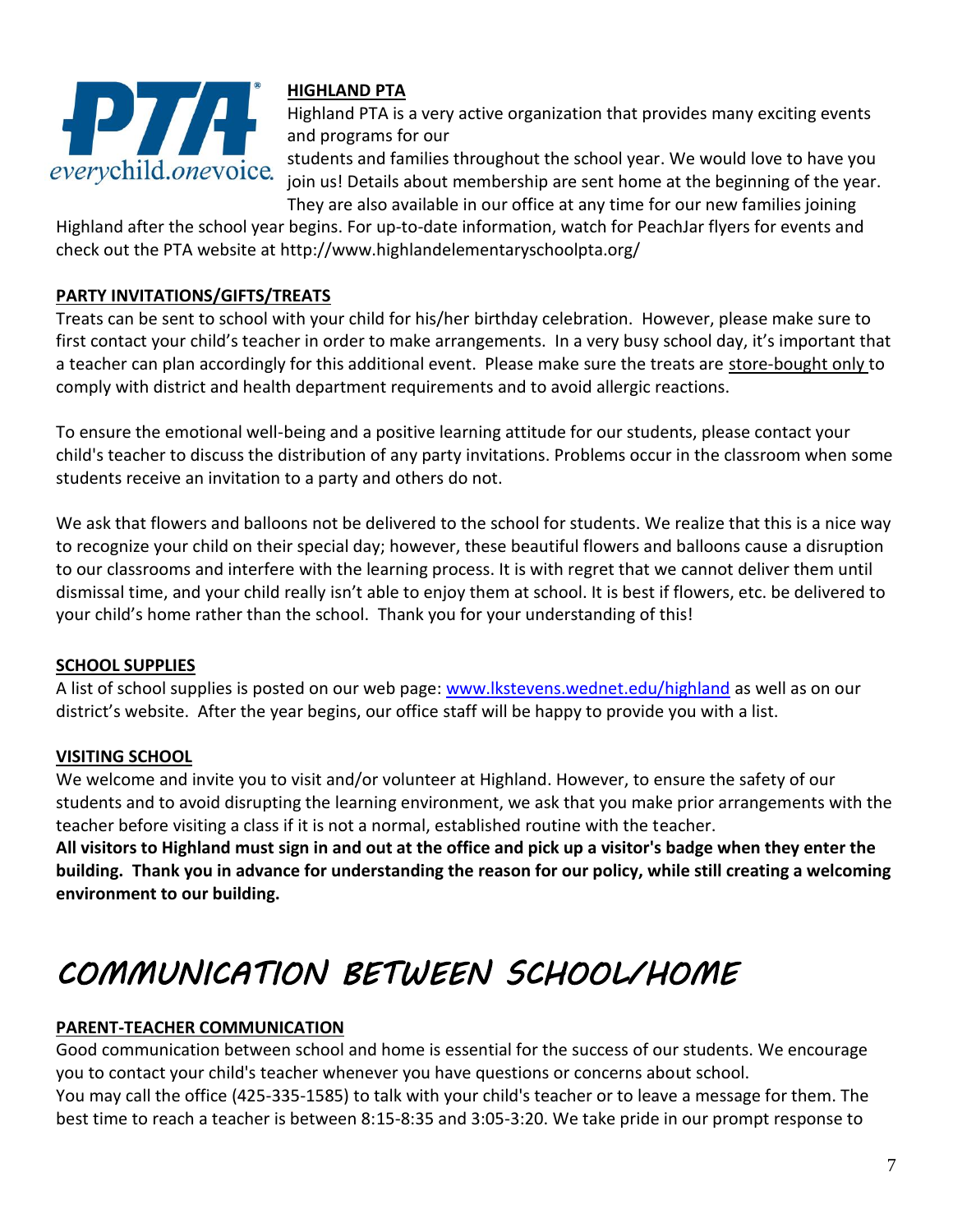

#### **HIGHLAND PTA**

Highland PTA is a very active organization that provides many exciting events and programs for our

students and families throughout the school year. We would love to have you join us! Details about membership are sent home at the beginning of the year. They are also available in our office at any time for our new families joining

Highland after the school year begins. For up-to-date information, watch for PeachJar flyers for events and check out the PTA website at http://www.highlandelementaryschoolpta.org/

#### **PARTY INVITATIONS/GIFTS/TREATS**

Treats can be sent to school with your child for his/her birthday celebration. However, please make sure to first contact your child's teacher in order to make arrangements. In a very busy school day, it's important that a teacher can plan accordingly for this additional event. Please make sure the treats are store-bought only to comply with district and health department requirements and to avoid allergic reactions.

To ensure the emotional well-being and a positive learning attitude for our students, please contact your child's teacher to discuss the distribution of any party invitations. Problems occur in the classroom when some students receive an invitation to a party and others do not.

We ask that flowers and balloons not be delivered to the school for students. We realize that this is a nice way to recognize your child on their special day; however, these beautiful flowers and balloons cause a disruption to our classrooms and interfere with the learning process. It is with regret that we cannot deliver them until dismissal time, and your child really isn't able to enjoy them at school. It is best if flowers, etc. be delivered to your child's home rather than the school. Thank you for your understanding of this!

#### **SCHOOL SUPPLIES**

A list of school supplies is posted on our web page: [www.lkstevens.wednet.edu/highland](http://www.lkstevens.wednet.edu/highland) as well as on our district's website. After the year begins, our office staff will be happy to provide you with a list.

#### **VISITING SCHOOL**

We welcome and invite you to visit and/or volunteer at Highland. However, to ensure the safety of our students and to avoid disrupting the learning environment, we ask that you make prior arrangements with the teacher before visiting a class if it is not a normal, established routine with the teacher.

**All visitors to Highland must sign in and out at the office and pick up a visitor's badge when they enter the building. Thank you in advance for understanding the reason for our policy, while still creating a welcoming environment to our building.** 

# *COMMUNICATION BETWEEN SCHOOL/HOME*

#### **PARENT-TEACHER COMMUNICATION**

Good communication between school and home is essential for the success of our students. We encourage you to contact your child's teacher whenever you have questions or concerns about school. You may call the office (425-335-1585) to talk with your child's teacher or to leave a message for them. The

best time to reach a teacher is between 8:15-8:35 and 3:05-3:20. We take pride in our prompt response to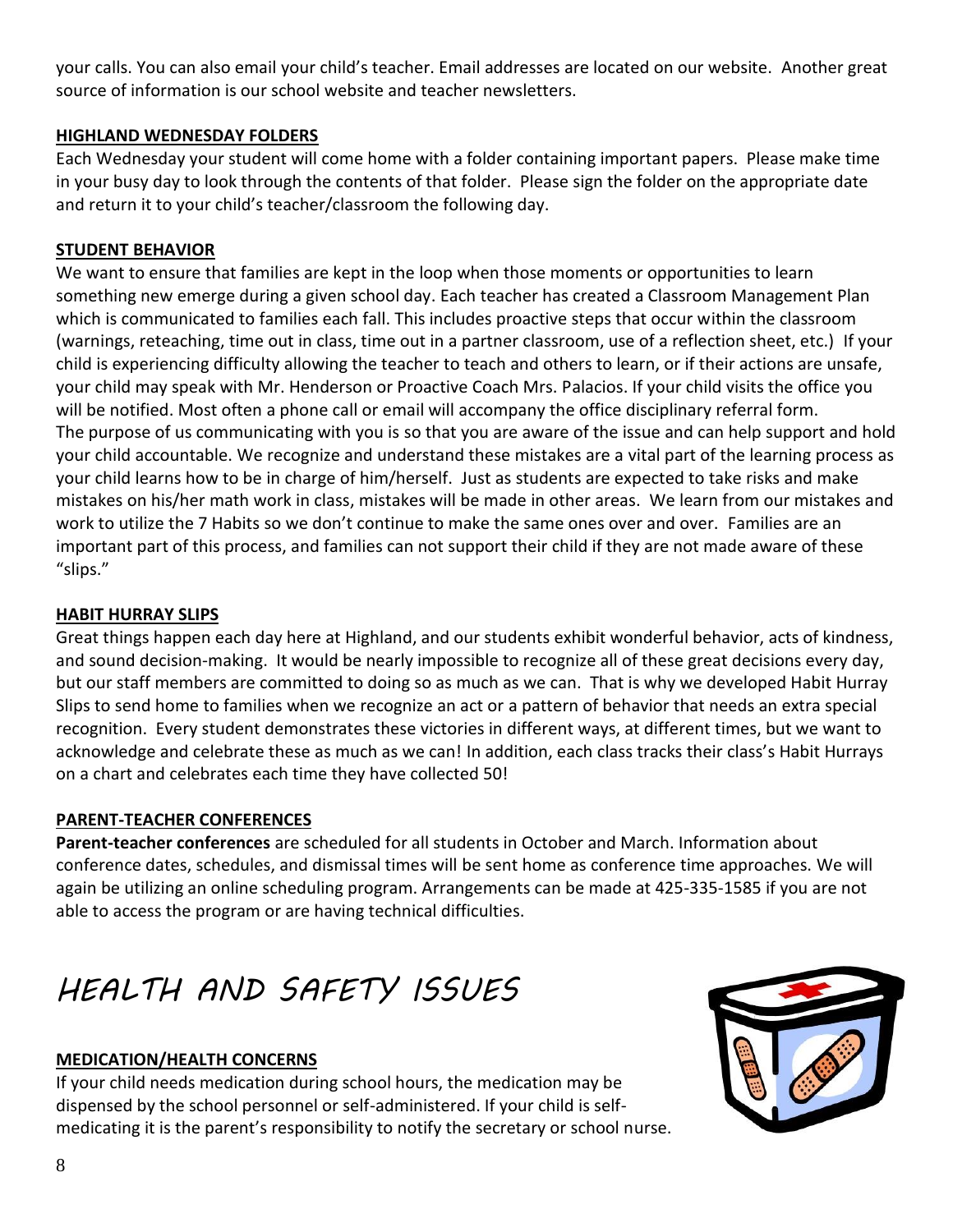your calls. You can also email your child's teacher. Email addresses are located on our website. Another great source of information is our school website and teacher newsletters.

#### **HIGHLAND WEDNESDAY FOLDERS**

Each Wednesday your student will come home with a folder containing important papers. Please make time in your busy day to look through the contents of that folder. Please sign the folder on the appropriate date and return it to your child's teacher/classroom the following day.

#### **STUDENT BEHAVIOR**

We want to ensure that families are kept in the loop when those moments or opportunities to learn something new emerge during a given school day. Each teacher has created a Classroom Management Plan which is communicated to families each fall. This includes proactive steps that occur within the classroom (warnings, reteaching, time out in class, time out in a partner classroom, use of a reflection sheet, etc.) If your child is experiencing difficulty allowing the teacher to teach and others to learn, or if their actions are unsafe, your child may speak with Mr. Henderson or Proactive Coach Mrs. Palacios. If your child visits the office you will be notified. Most often a phone call or email will accompany the office disciplinary referral form. The purpose of us communicating with you is so that you are aware of the issue and can help support and hold your child accountable. We recognize and understand these mistakes are a vital part of the learning process as your child learns how to be in charge of him/herself. Just as students are expected to take risks and make mistakes on his/her math work in class, mistakes will be made in other areas. We learn from our mistakes and work to utilize the 7 Habits so we don't continue to make the same ones over and over. Families are an important part of this process, and families can not support their child if they are not made aware of these "slips."

#### **HABIT HURRAY SLIPS**

Great things happen each day here at Highland, and our students exhibit wonderful behavior, acts of kindness, and sound decision-making. It would be nearly impossible to recognize all of these great decisions every day, but our staff members are committed to doing so as much as we can. That is why we developed Habit Hurray Slips to send home to families when we recognize an act or a pattern of behavior that needs an extra special recognition. Every student demonstrates these victories in different ways, at different times, but we want to acknowledge and celebrate these as much as we can! In addition, each class tracks their class's Habit Hurrays on a chart and celebrates each time they have collected 50!

#### **PARENT-TEACHER CONFERENCES**

**Parent-teacher conferences** are scheduled for all students in October and March. Information about conference dates, schedules, and dismissal times will be sent home as conference time approaches. We will again be utilizing an online scheduling program. Arrangements can be made at 425-335-1585 if you are not able to access the program or are having technical difficulties.

## *HEALTH AND SAFETY ISSUES*

#### **MEDICATION/HEALTH CONCERNS**

If your child needs medication during school hours, the medication may be dispensed by the school personnel or self-administered. If your child is selfmedicating it is the parent's responsibility to notify the secretary or school nurse.

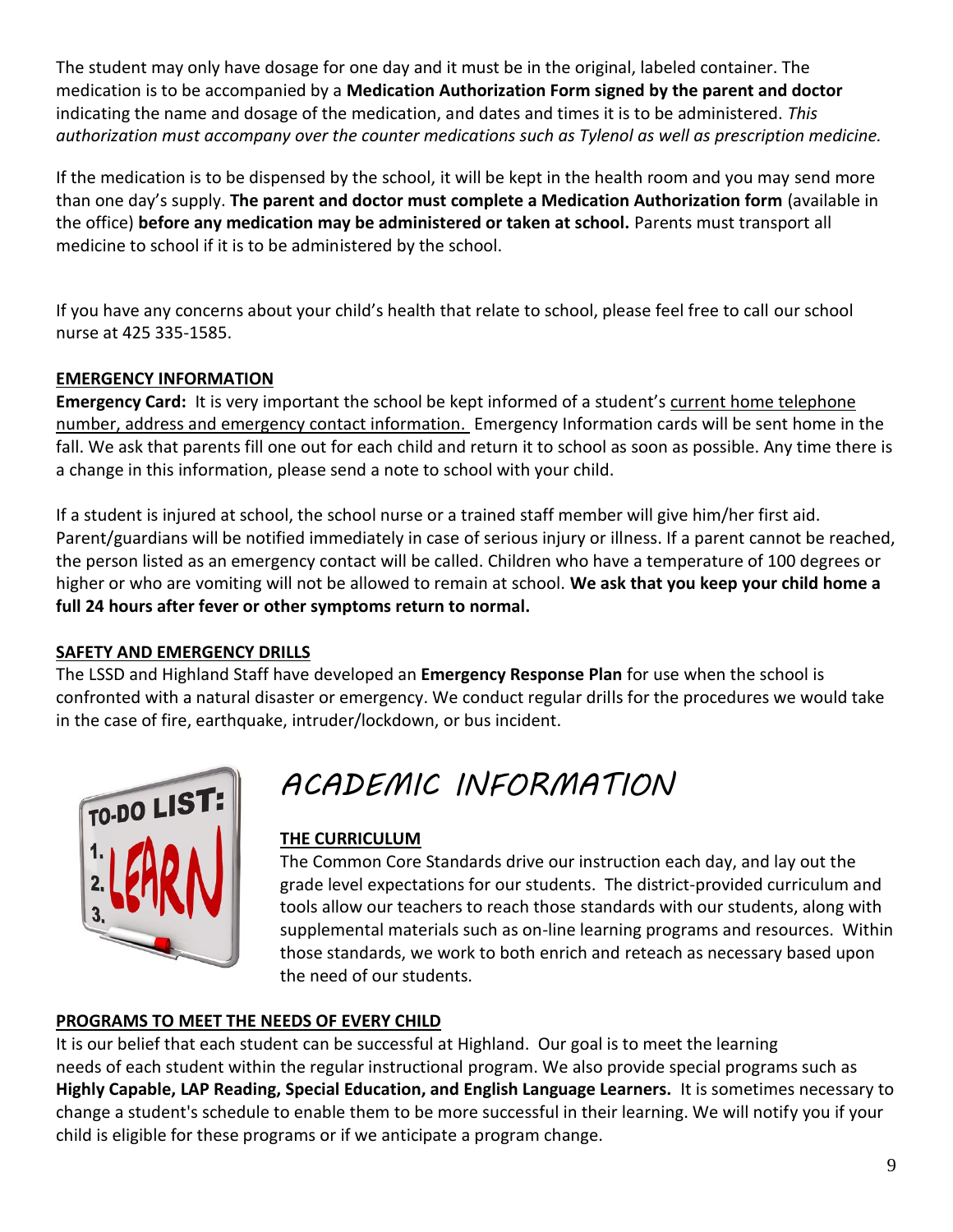The student may only have dosage for one day and it must be in the original, labeled container. The medication is to be accompanied by a **Medication Authorization Form signed by the parent and doctor** indicating the name and dosage of the medication, and dates and times it is to be administered. *This authorization must accompany over the counter medications such as Tylenol as well as prescription medicine.*

If the medication is to be dispensed by the school, it will be kept in the health room and you may send more than one day's supply. **The parent and doctor must complete a Medication Authorization form** (available in the office) **before any medication may be administered or taken at school.** Parents must transport all medicine to school if it is to be administered by the school.

If you have any concerns about your child's health that relate to school, please feel free to call our school nurse at 425 335-1585.

#### **EMERGENCY INFORMATION**

**Emergency Card:** It is very important the school be kept informed of a student's current home telephone number, address and emergency contact information. Emergency Information cards will be sent home in the fall. We ask that parents fill one out for each child and return it to school as soon as possible. Any time there is a change in this information, please send a note to school with your child.

If a student is injured at school, the school nurse or a trained staff member will give him/her first aid. Parent/guardians will be notified immediately in case of serious injury or illness. If a parent cannot be reached, the person listed as an emergency contact will be called. Children who have a temperature of 100 degrees or higher or who are vomiting will not be allowed to remain at school. **We ask that you keep your child home a full 24 hours after fever or other symptoms return to normal.**

#### **SAFETY AND EMERGENCY DRILLS**

The LSSD and Highland Staff have developed an **Emergency Response Plan** for use when the school is confronted with a natural disaster or emergency. We conduct regular drills for the procedures we would take in the case of fire, earthquake, intruder/lockdown, or bus incident.



## *ACADEMIC INFORMATION*

#### **THE CURRICULUM**

The Common Core Standards drive our instruction each day, and lay out the grade level expectations for our students. The district-provided curriculum and tools allow our teachers to reach those standards with our students, along with supplemental materials such as on-line learning programs and resources. Within those standards, we work to both enrich and reteach as necessary based upon the need of our students.

#### **PROGRAMS TO MEET THE NEEDS OF EVERY CHILD**

It is our belief that each student can be successful at Highland. Our goal is to meet the learning needs of each student within the regular instructional program. We also provide special programs such as **Highly Capable, LAP Reading, Special Education, and English Language Learners.** It is sometimes necessary to change a student's schedule to enable them to be more successful in their learning. We will notify you if your child is eligible for these programs or if we anticipate a program change.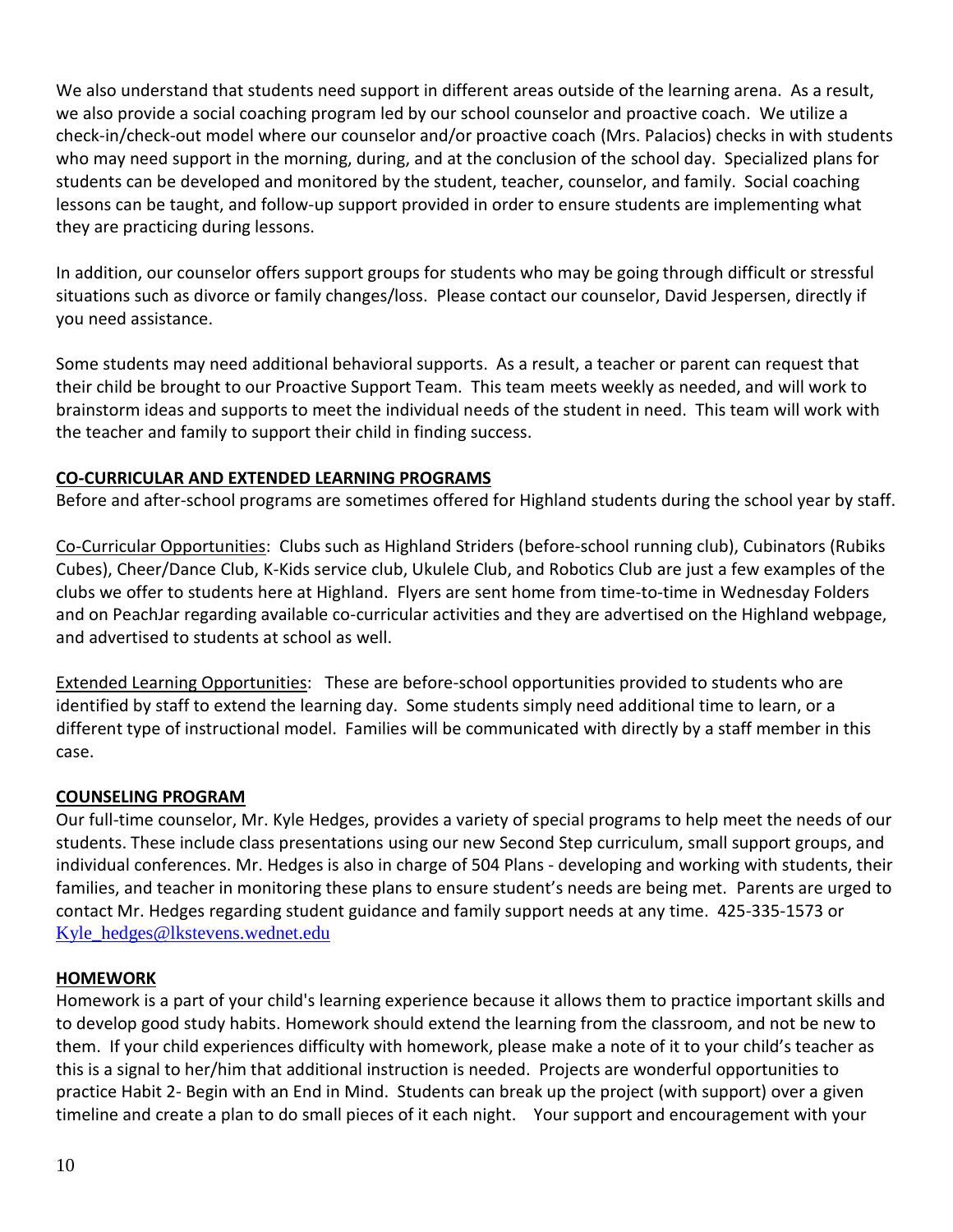We also understand that students need support in different areas outside of the learning arena. As a result, we also provide a social coaching program led by our school counselor and proactive coach. We utilize a check-in/check-out model where our counselor and/or proactive coach (Mrs. Palacios) checks in with students who may need support in the morning, during, and at the conclusion of the school day. Specialized plans for students can be developed and monitored by the student, teacher, counselor, and family. Social coaching lessons can be taught, and follow-up support provided in order to ensure students are implementing what they are practicing during lessons.

In addition, our counselor offers support groups for students who may be going through difficult or stressful situations such as divorce or family changes/loss. Please contact our counselor, David Jespersen, directly if you need assistance.

Some students may need additional behavioral supports. As a result, a teacher or parent can request that their child be brought to our Proactive Support Team. This team meets weekly as needed, and will work to brainstorm ideas and supports to meet the individual needs of the student in need. This team will work with the teacher and family to support their child in finding success.

#### **CO-CURRICULAR AND EXTENDED LEARNING PROGRAMS**

Before and after-school programs are sometimes offered for Highland students during the school year by staff.

Co-Curricular Opportunities: Clubs such as Highland Striders (before-school running club), Cubinators (Rubiks Cubes), Cheer/Dance Club, K-Kids service club, Ukulele Club, and Robotics Club are just a few examples of the clubs we offer to students here at Highland. Flyers are sent home from time-to-time in Wednesday Folders and on PeachJar regarding available co-curricular activities and they are advertised on the Highland webpage, and advertised to students at school as well.

Extended Learning Opportunities: These are before-school opportunities provided to students who are identified by staff to extend the learning day. Some students simply need additional time to learn, or a different type of instructional model. Families will be communicated with directly by a staff member in this case.

#### **COUNSELING PROGRAM**

Our full-time counselor, Mr. Kyle Hedges, provides a variety of special programs to help meet the needs of our students. These include class presentations using our new Second Step curriculum, small support groups, and individual conferences. Mr. Hedges is also in charge of 504 Plans - developing and working with students, their families, and teacher in monitoring these plans to ensure student's needs are being met. Parents are urged to contact Mr. Hedges regarding student guidance and family support needs at any time. 425-335-1573 or [Kyle\\_hedges@lkstevens.wednet.edu](mailto:Kyle_hedges@lkstevens.wednet.edu)

#### **HOMEWORK**

Homework is a part of your child's learning experience because it allows them to practice important skills and to develop good study habits. Homework should extend the learning from the classroom, and not be new to them. If your child experiences difficulty with homework, please make a note of it to your child's teacher as this is a signal to her/him that additional instruction is needed. Projects are wonderful opportunities to practice Habit 2- Begin with an End in Mind. Students can break up the project (with support) over a given timeline and create a plan to do small pieces of it each night. Your support and encouragement with your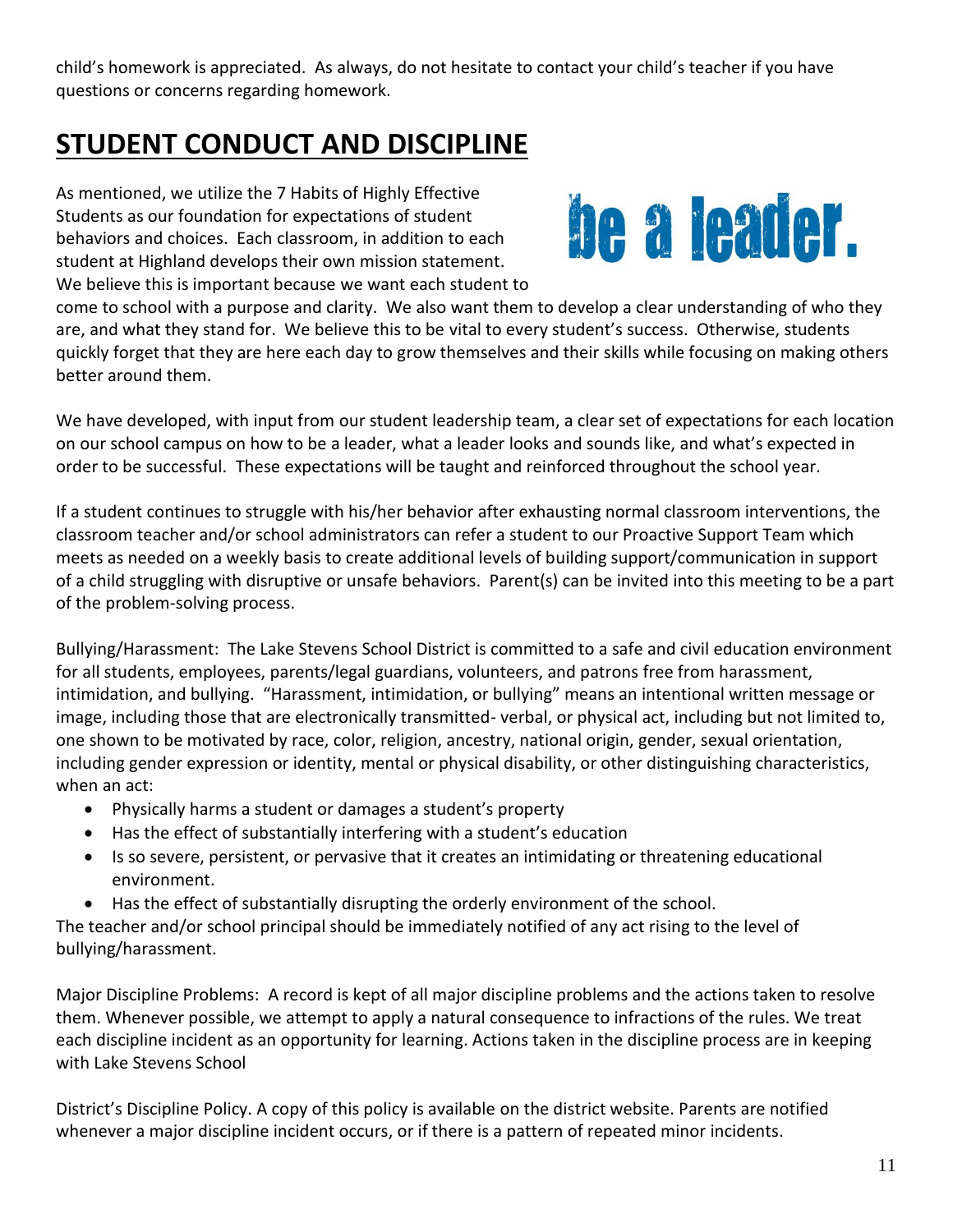child's homework is appreciated. As always, do not hesitate to contact your child's teacher if you have questions or concerns regarding homework.

### **STUDENT CONDUCT AND DISCIPLINE**

As mentioned, we utilize the 7 Habits of Highly Effective Students as our foundation for expectations of student behaviors and choices. Each classroom, in addition to each student at Highland develops their own mission statement. We believe this is important because we want each student to



come to school with a purpose and clarity. We also want them to develop a clear understanding of who they are, and what they stand for. We believe this to be vital to every student's success. Otherwise, students quickly forget that they are here each day to grow themselves and their skills while focusing on making others better around them.

We have developed, with input from our student leadership team, a clear set of expectations for each location on our school campus on how to be a leader, what a leader looks and sounds like, and what's expected in order to be successful. These expectations will be taught and reinforced throughout the school year.

If a student continues to struggle with his/her behavior after exhausting normal classroom interventions, the classroom teacher and/or school administrators can refer a student to our Proactive Support Team which meets as needed on a weekly basis to create additional levels of building support/communication in support of a child struggling with disruptive or unsafe behaviors. Parent(s) can be invited into this meeting to be a part of the problem-solving process.

Bullying/Harassment: The Lake Stevens School District is committed to a safe and civil education environment for all students, employees, parents/legal guardians, volunteers, and patrons free from harassment, intimidation, and bullying. "Harassment, intimidation, or bullying" means an intentional written message or image, including those that are electronically transmitted- verbal, or physical act, including but not limited to, one shown to be motivated by race, color, religion, ancestry, national origin, gender, sexual orientation, including gender expression or identity, mental or physical disability, or other distinguishing characteristics, when an act:

- Physically harms a student or damages a student's property
- Has the effect of substantially interfering with a student's education
- Is so severe, persistent, or pervasive that it creates an intimidating or threatening educational environment.
- Has the effect of substantially disrupting the orderly environment of the school.

The teacher and/or school principal should be immediately notified of any act rising to the level of bullying/harassment.

Major Discipline Problems: A record is kept of all major discipline problems and the actions taken to resolve them. Whenever possible, we attempt to apply a natural consequence to infractions of the rules. We treat each discipline incident as an opportunity for learning. Actions taken in the discipline process are in keeping with Lake Stevens School

District's Discipline Policy. A copy of this policy is available on the district website. Parents are notified whenever a major discipline incident occurs, or if there is a pattern of repeated minor incidents.